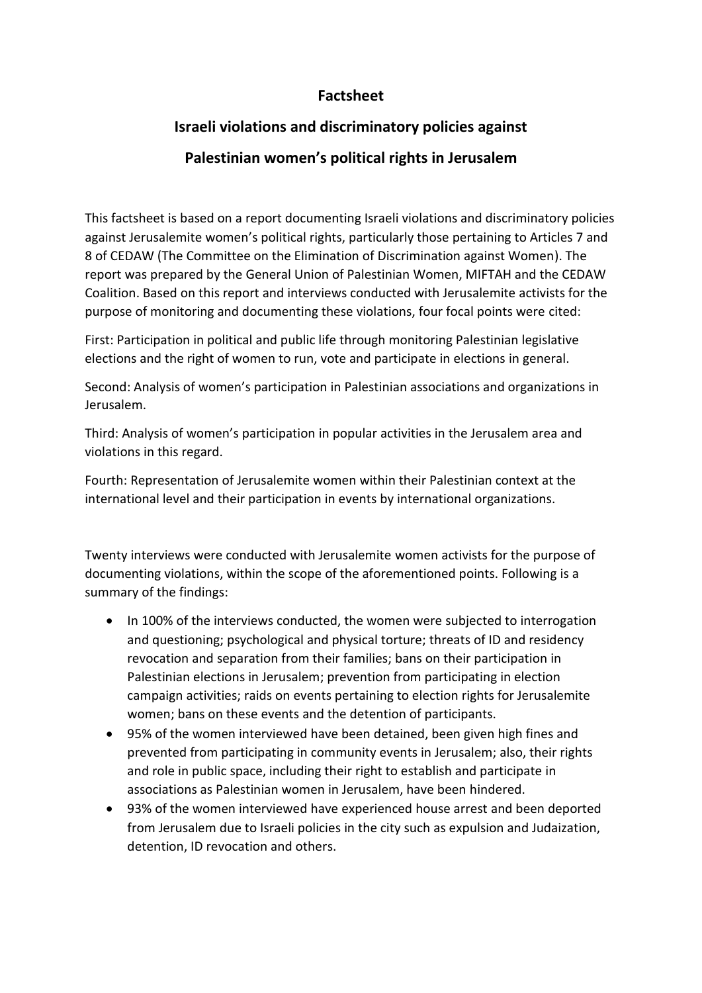## **Factsheet**

## **Israeli violations and discriminatory policies against**

## **Palestinian women's political rights in Jerusalem**

This factsheet is based on a report documenting Israeli violations and discriminatory policies against Jerusalemite women's political rights, particularly those pertaining to Articles 7 and 8 of CEDAW (The Committee on the Elimination of Discrimination against Women). The report was prepared by the General Union of Palestinian Women, MIFTAH and the CEDAW Coalition. Based on this report and interviews conducted with Jerusalemite activists for the purpose of monitoring and documenting these violations, four focal points were cited:

First: Participation in political and public life through monitoring Palestinian legislative elections and the right of women to run, vote and participate in elections in general.

Second: Analysis of women's participation in Palestinian associations and organizations in Jerusalem.

Third: Analysis of women's participation in popular activities in the Jerusalem area and violations in this regard.

Fourth: Representation of Jerusalemite women within their Palestinian context at the international level and their participation in events by international organizations.

Twenty interviews were conducted with Jerusalemite women activists for the purpose of documenting violations, within the scope of the aforementioned points. Following is a summary of the findings:

- In 100% of the interviews conducted, the women were subjected to interrogation and questioning; psychological and physical torture; threats of ID and residency revocation and separation from their families; bans on their participation in Palestinian elections in Jerusalem; prevention from participating in election campaign activities; raids on events pertaining to election rights for Jerusalemite women; bans on these events and the detention of participants.
- 95% of the women interviewed have been detained, been given high fines and prevented from participating in community events in Jerusalem; also, their rights and role in public space, including their right to establish and participate in associations as Palestinian women in Jerusalem, have been hindered.
- 93% of the women interviewed have experienced house arrest and been deported from Jerusalem due to Israeli policies in the city such as expulsion and Judaization, detention, ID revocation and others.